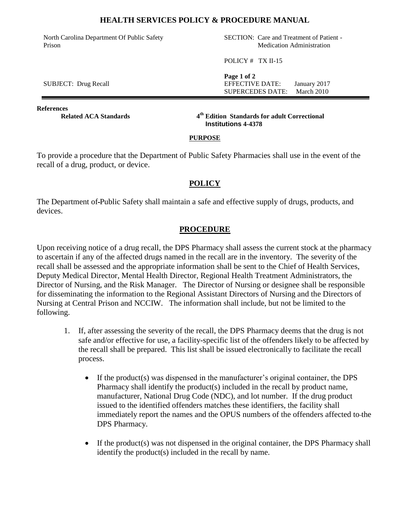## **HEALTH SERVICES POLICY & PROCEDURE MANUAL**

North Carolina Department Of Public Safety Prison

SECTION: Care and Treatment of Patient - Medication Administration

POLICY # TX II-15

**Page 1 of 2** SUBJECT: Drug Recall **EFFECTIVE DATE:** January 2017 SUPERCEDES DATE: March 2010

**References Related ACA Standards** 

**th Edition Standards for adult Correctional Institutions 4-4378**

#### **PURPOSE**

To provide a procedure that the Department of Public Safety Pharmacies shall use in the event of the recall of a drug, product, or device.

# **POLICY**

The Department of Public Safety shall maintain a safe and effective supply of drugs, products, and devices.

# **PROCEDURE**

Upon receiving notice of a drug recall, the DPS Pharmacy shall assess the current stock at the pharmacy to ascertain if any of the affected drugs named in the recall are in the inventory. The severity of the recall shall be assessed and the appropriate information shall be sent to the Chief of Health Services, Deputy Medical Director, Mental Health Director, Regional Health Treatment Administrators, the Director of Nursing, and the Risk Manager. The Director of Nursing or designee shall be responsible for disseminating the information to the Regional Assistant Directors of Nursing and the Directors of Nursing at Central Prison and NCCIW. The information shall include, but not be limited to the following.

- 1. If, after assessing the severity of the recall, the DPS Pharmacy deems that the drug is not safe and/or effective for use, a facility-specific list of the offenders likely to be affected by the recall shall be prepared. This list shall be issued electronically to facilitate the recall process.
	- If the product(s) was dispensed in the manufacturer's original container, the DPS Pharmacy shall identify the product(s) included in the recall by product name, manufacturer, National Drug Code (NDC), and lot number. If the drug product issued to the identified offenders matches these identifiers, the facility shall immediately report the names and the OPUS numbers of the offenders affected to the DPS Pharmacy.
	- $\bullet$  If the product(s) was not dispensed in the original container, the DPS Pharmacy shall identify the product(s) included in the recall by name.